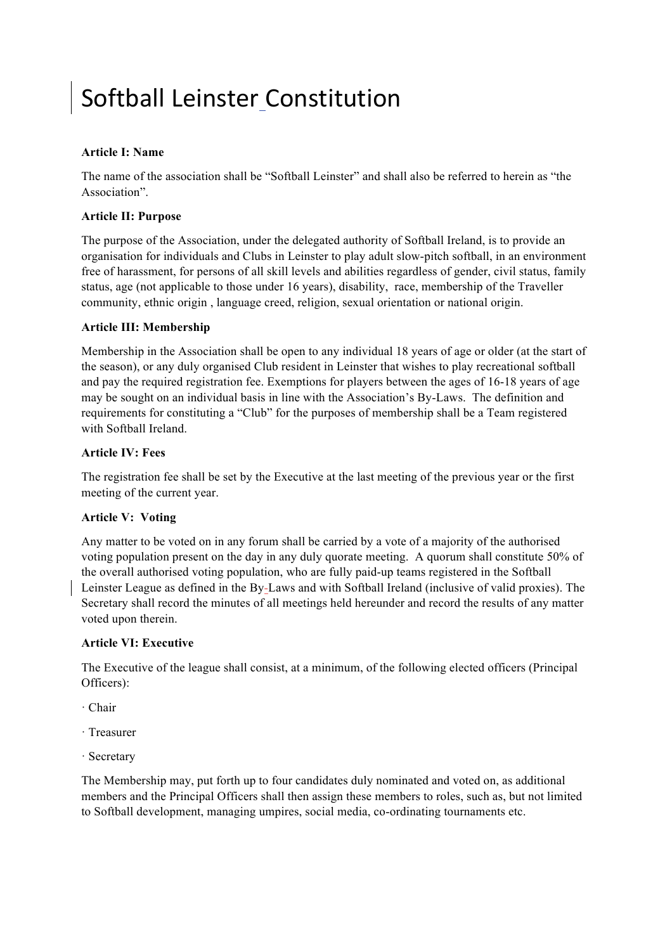# Softball Leinster Constitution

# **Article I: Name**

The name of the association shall be "Softball Leinster" and shall also be referred to herein as "the Association".

# **Article II: Purpose**

The purpose of the Association, under the delegated authority of Softball Ireland, is to provide an organisation for individuals and Clubs in Leinster to play adult slow-pitch softball, in an environment free of harassment, for persons of all skill levels and abilities regardless of gender, civil status, family status, age (not applicable to those under 16 years), disability, race, membership of the Traveller community, ethnic origin , language creed, religion, sexual orientation or national origin.

## **Article III: Membership**

Membership in the Association shall be open to any individual 18 years of age or older (at the start of the season), or any duly organised Club resident in Leinster that wishes to play recreational softball and pay the required registration fee. Exemptions for players between the ages of 16-18 years of age may be sought on an individual basis in line with the Association's By-Laws. The definition and requirements for constituting a "Club" for the purposes of membership shall be a Team registered with Softball Ireland.

# **Article IV: Fees**

The registration fee shall be set by the Executive at the last meeting of the previous year or the first meeting of the current year.

# **Article V: Voting**

Any matter to be voted on in any forum shall be carried by a vote of a majority of the authorised voting population present on the day in any duly quorate meeting. A quorum shall constitute 50% of the overall authorised voting population, who are fully paid-up teams registered in the Softball Leinster League as defined in the By-Laws and with Softball Ireland (inclusive of valid proxies). The Secretary shall record the minutes of all meetings held hereunder and record the results of any matter voted upon therein.

## **Article VI: Executive**

The Executive of the league shall consist, at a minimum, of the following elected officers (Principal Officers):

- · Chair
- · Treasurer
- · Secretary

The Membership may, put forth up to four candidates duly nominated and voted on, as additional members and the Principal Officers shall then assign these members to roles, such as, but not limited to Softball development, managing umpires, social media, co-ordinating tournaments etc.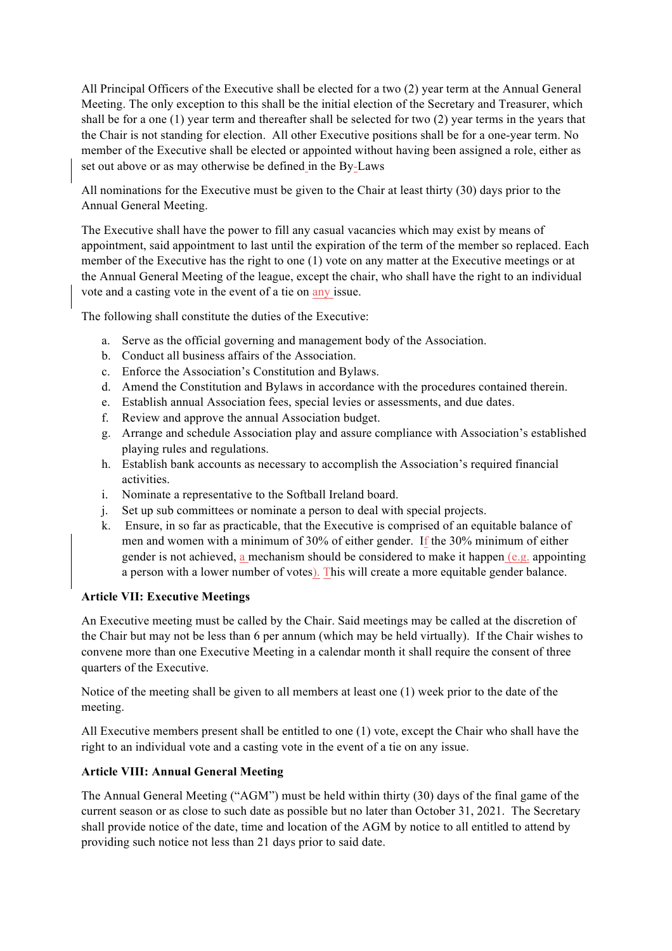All Principal Officers of the Executive shall be elected for a two (2) year term at the Annual General Meeting. The only exception to this shall be the initial election of the Secretary and Treasurer, which shall be for a one (1) year term and thereafter shall be selected for two (2) year terms in the years that the Chair is not standing for election. All other Executive positions shall be for a one-year term. No member of the Executive shall be elected or appointed without having been assigned a role, either as set out above or as may otherwise be defined in the By-Laws

All nominations for the Executive must be given to the Chair at least thirty (30) days prior to the Annual General Meeting.

The Executive shall have the power to fill any casual vacancies which may exist by means of appointment, said appointment to last until the expiration of the term of the member so replaced. Each member of the Executive has the right to one (1) vote on any matter at the Executive meetings or at the Annual General Meeting of the league, except the chair, who shall have the right to an individual vote and a casting vote in the event of a tie on any issue.

The following shall constitute the duties of the Executive:

- a. Serve as the official governing and management body of the Association.
- b. Conduct all business affairs of the Association.
- c. Enforce the Association's Constitution and Bylaws.
- d. Amend the Constitution and Bylaws in accordance with the procedures contained therein.
- e. Establish annual Association fees, special levies or assessments, and due dates.
- f. Review and approve the annual Association budget.
- g. Arrange and schedule Association play and assure compliance with Association's established playing rules and regulations.
- h. Establish bank accounts as necessary to accomplish the Association's required financial activities.
- i. Nominate a representative to the Softball Ireland board.
- j. Set up sub committees or nominate a person to deal with special projects.
- k. Ensure, in so far as practicable, that the Executive is comprised of an equitable balance of men and women with a minimum of 30% of either gender. If the 30% minimum of either gender is not achieved, a mechanism should be considered to make it happen  $(e, g)$ , appointing a person with a lower number of votes). This will create a more equitable gender balance.

#### **Article VII: Executive Meetings**

An Executive meeting must be called by the Chair. Said meetings may be called at the discretion of the Chair but may not be less than 6 per annum (which may be held virtually). If the Chair wishes to convene more than one Executive Meeting in a calendar month it shall require the consent of three quarters of the Executive.

Notice of the meeting shall be given to all members at least one (1) week prior to the date of the meeting.

All Executive members present shall be entitled to one (1) vote, except the Chair who shall have the right to an individual vote and a casting vote in the event of a tie on any issue.

## **Article VIII: Annual General Meeting**

The Annual General Meeting ("AGM") must be held within thirty (30) days of the final game of the current season or as close to such date as possible but no later than October 31, 2021. The Secretary shall provide notice of the date, time and location of the AGM by notice to all entitled to attend by providing such notice not less than 21 days prior to said date.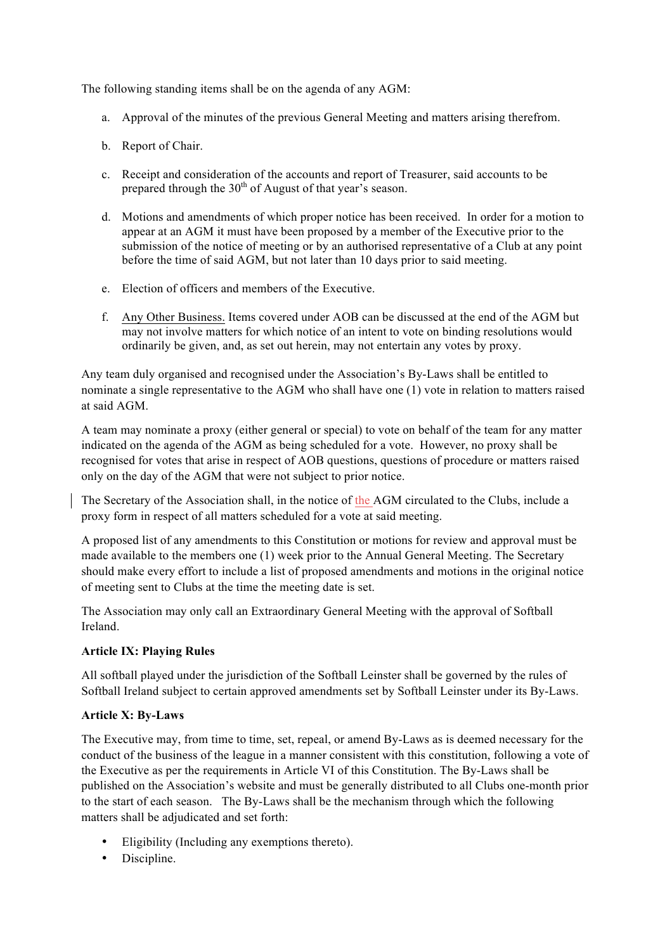The following standing items shall be on the agenda of any AGM:

- a. Approval of the minutes of the previous General Meeting and matters arising therefrom.
- b. Report of Chair.
- c. Receipt and consideration of the accounts and report of Treasurer, said accounts to be prepared through the  $30<sup>th</sup>$  of August of that year's season.
- d. Motions and amendments of which proper notice has been received. In order for a motion to appear at an AGM it must have been proposed by a member of the Executive prior to the submission of the notice of meeting or by an authorised representative of a Club at any point before the time of said AGM, but not later than 10 days prior to said meeting.
- e. Election of officers and members of the Executive.
- f. Any Other Business. Items covered under AOB can be discussed at the end of the AGM but may not involve matters for which notice of an intent to vote on binding resolutions would ordinarily be given, and, as set out herein, may not entertain any votes by proxy.

Any team duly organised and recognised under the Association's By-Laws shall be entitled to nominate a single representative to the AGM who shall have one (1) vote in relation to matters raised at said AGM.

A team may nominate a proxy (either general or special) to vote on behalf of the team for any matter indicated on the agenda of the AGM as being scheduled for a vote. However, no proxy shall be recognised for votes that arise in respect of AOB questions, questions of procedure or matters raised only on the day of the AGM that were not subject to prior notice.

The Secretary of the Association shall, in the notice of the AGM circulated to the Clubs, include a proxy form in respect of all matters scheduled for a vote at said meeting.

A proposed list of any amendments to this Constitution or motions for review and approval must be made available to the members one (1) week prior to the Annual General Meeting. The Secretary should make every effort to include a list of proposed amendments and motions in the original notice of meeting sent to Clubs at the time the meeting date is set.

The Association may only call an Extraordinary General Meeting with the approval of Softball Ireland.

#### **Article IX: Playing Rules**

All softball played under the jurisdiction of the Softball Leinster shall be governed by the rules of Softball Ireland subject to certain approved amendments set by Softball Leinster under its By-Laws.

#### **Article X: By-Laws**

The Executive may, from time to time, set, repeal, or amend By-Laws as is deemed necessary for the conduct of the business of the league in a manner consistent with this constitution, following a vote of the Executive as per the requirements in Article VI of this Constitution. The By-Laws shall be published on the Association's website and must be generally distributed to all Clubs one-month prior to the start of each season. The By-Laws shall be the mechanism through which the following matters shall be adjudicated and set forth:

- Eligibility (Including any exemptions thereto).
- Discipline.